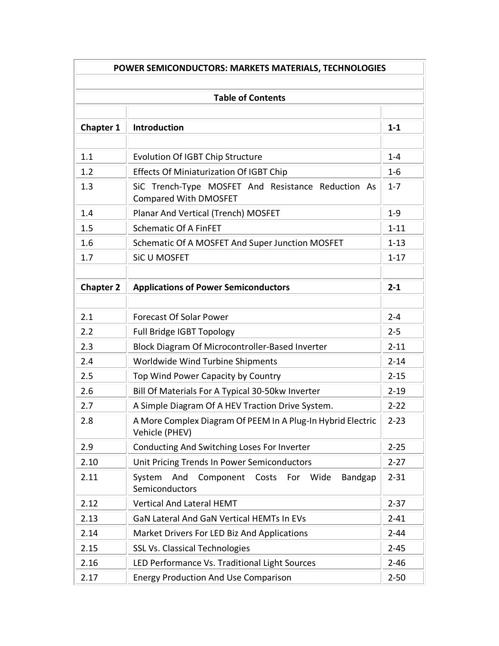| POWER SEMICONDUCTORS: MARKETS MATERIALS, TECHNOLOGIES<br><b>Table of Contents</b> |                                                                                    |          |
|-----------------------------------------------------------------------------------|------------------------------------------------------------------------------------|----------|
|                                                                                   |                                                                                    |          |
| 1.1                                                                               | <b>Evolution Of IGBT Chip Structure</b>                                            | $1 - 4$  |
| 1.2                                                                               | <b>Effects Of Miniaturization Of IGBT Chip</b>                                     | $1 - 6$  |
| 1.3                                                                               | SiC Trench-Type MOSFET And Resistance Reduction As<br><b>Compared With DMOSFET</b> | $1 - 7$  |
| 1.4                                                                               | Planar And Vertical (Trench) MOSFET                                                | $1 - 9$  |
| 1.5                                                                               | <b>Schematic Of A FinFET</b>                                                       | $1 - 11$ |
| 1.6                                                                               | Schematic Of A MOSFET And Super Junction MOSFET                                    | $1 - 13$ |
| 1.7                                                                               | SiC U MOSFET                                                                       | $1 - 17$ |
|                                                                                   |                                                                                    |          |
| <b>Chapter 2</b>                                                                  | <b>Applications of Power Semiconductors</b>                                        | $2 - 1$  |
|                                                                                   |                                                                                    |          |
| 2.1                                                                               | <b>Forecast Of Solar Power</b>                                                     | $2 - 4$  |
| 2.2                                                                               | Full Bridge IGBT Topology                                                          | $2 - 5$  |
| 2.3                                                                               | Block Diagram Of Microcontroller-Based Inverter                                    | $2 - 11$ |
| 2.4                                                                               | Worldwide Wind Turbine Shipments                                                   | $2 - 14$ |
| 2.5                                                                               | Top Wind Power Capacity by Country                                                 | $2 - 15$ |
| 2.6                                                                               | Bill Of Materials For A Typical 30-50kw Inverter                                   | $2 - 19$ |
| 2.7                                                                               | A Simple Diagram Of A HEV Traction Drive System.                                   | $2 - 22$ |
| 2.8                                                                               | A More Complex Diagram Of PEEM In A Plug-In Hybrid Electric<br>Vehicle (PHEV)      | $2 - 23$ |
| 2.9                                                                               | Conducting And Switching Loses For Inverter                                        | $2 - 25$ |
| 2.10                                                                              | Unit Pricing Trends In Power Semiconductors                                        | $2 - 27$ |
| 2.11                                                                              | And Component Costs For Wide<br>Bandgap<br>System<br>Semiconductors                | $2 - 31$ |
| 2.12                                                                              | <b>Vertical And Lateral HEMT</b>                                                   | $2 - 37$ |
| 2.13                                                                              | GaN Lateral And GaN Vertical HEMTs In EVs                                          | $2 - 41$ |
| 2.14                                                                              | Market Drivers For LED Biz And Applications                                        | $2 - 44$ |
| 2.15                                                                              | <b>SSL Vs. Classical Technologies</b>                                              | $2 - 45$ |
| 2.16                                                                              | LED Performance Vs. Traditional Light Sources                                      | $2 - 46$ |
| 2.17                                                                              | <b>Energy Production And Use Comparison</b>                                        | $2 - 50$ |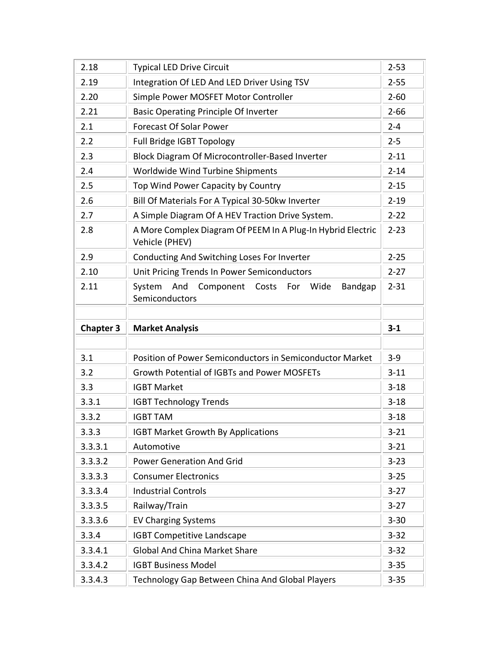| 2.18             | <b>Typical LED Drive Circuit</b>                                                | $2 - 53$ |
|------------------|---------------------------------------------------------------------------------|----------|
| 2.19             | Integration Of LED And LED Driver Using TSV                                     | $2 - 55$ |
| 2.20             | Simple Power MOSFET Motor Controller                                            | $2 - 60$ |
| 2.21             | <b>Basic Operating Principle Of Inverter</b>                                    | $2 - 66$ |
| 2.1              | <b>Forecast Of Solar Power</b>                                                  | $2 - 4$  |
| 2.2              | Full Bridge IGBT Topology                                                       | $2 - 5$  |
| 2.3              | Block Diagram Of Microcontroller-Based Inverter                                 | $2 - 11$ |
| 2.4              | Worldwide Wind Turbine Shipments                                                | $2 - 14$ |
| 2.5              | Top Wind Power Capacity by Country                                              | $2 - 15$ |
| 2.6              | Bill Of Materials For A Typical 30-50kw Inverter                                | $2 - 19$ |
| 2.7              | A Simple Diagram Of A HEV Traction Drive System.                                | $2 - 22$ |
| 2.8              | A More Complex Diagram Of PEEM In A Plug-In Hybrid Electric<br>Vehicle (PHEV)   | $2 - 23$ |
| 2.9              | Conducting And Switching Loses For Inverter                                     | $2 - 25$ |
| 2.10             | Unit Pricing Trends In Power Semiconductors                                     | $2 - 27$ |
| 2.11             | System<br>And<br>Component<br>Costs<br>For<br>Wide<br>Bandgap<br>Semiconductors | $2 - 31$ |
|                  |                                                                                 |          |
|                  |                                                                                 |          |
| <b>Chapter 3</b> | <b>Market Analysis</b>                                                          | $3 - 1$  |
|                  |                                                                                 |          |
| 3.1              | Position of Power Semiconductors in Semiconductor Market                        | $3 - 9$  |
| 3.2              | <b>Growth Potential of IGBTs and Power MOSFETs</b>                              | $3 - 11$ |
| 3.3              | <b>IGBT Market</b>                                                              | $3 - 18$ |
| 3.3.1            | <b>IGBT Technology Trends</b>                                                   | $3 - 18$ |
| 3.3.2            | <b>IGBT TAM</b>                                                                 | $3 - 18$ |
| 3.3.3            | <b>IGBT Market Growth By Applications</b>                                       | $3 - 21$ |
| 3.3.3.1          | Automotive                                                                      | $3 - 21$ |
| 3.3.3.2          | <b>Power Generation And Grid</b>                                                | $3 - 23$ |
| 3.3.3.3          | <b>Consumer Electronics</b>                                                     | $3 - 25$ |
| 3.3.3.4          | <b>Industrial Controls</b>                                                      | $3 - 27$ |
| 3.3.3.5          | Railway/Train                                                                   | $3 - 27$ |
| 3.3.3.6          | <b>EV Charging Systems</b>                                                      | $3 - 30$ |
| 3.3.4            | <b>IGBT Competitive Landscape</b>                                               | $3 - 32$ |
| 3.3.4.1          | <b>Global And China Market Share</b>                                            | $3 - 32$ |
| 3.3.4.2          | <b>IGBT Business Model</b>                                                      | $3 - 35$ |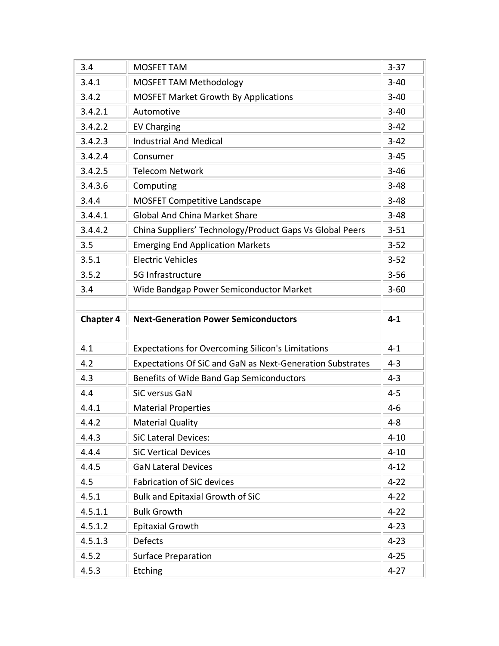| 3.4              | <b>MOSFET TAM</b>                                         | $3 - 37$ |
|------------------|-----------------------------------------------------------|----------|
| 3.4.1            | <b>MOSFET TAM Methodology</b>                             | $3 - 40$ |
| 3.4.2            | <b>MOSFET Market Growth By Applications</b>               | $3 - 40$ |
| 3.4.2.1          | Automotive                                                | $3 - 40$ |
| 3.4.2.2          | <b>EV Charging</b>                                        | $3 - 42$ |
| 3.4.2.3          | <b>Industrial And Medical</b>                             | $3 - 42$ |
| 3.4.2.4          | Consumer                                                  | $3 - 45$ |
| 3.4.2.5          | <b>Telecom Network</b>                                    | $3 - 46$ |
| 3.4.3.6          | Computing                                                 | $3 - 48$ |
| 3.4.4            | <b>MOSFET Competitive Landscape</b>                       | $3 - 48$ |
| 3.4.4.1          | <b>Global And China Market Share</b>                      | $3 - 48$ |
| 3.4.4.2          | China Suppliers' Technology/Product Gaps Vs Global Peers  | $3 - 51$ |
| 3.5              | <b>Emerging End Application Markets</b>                   | $3 - 52$ |
| 3.5.1            | <b>Electric Vehicles</b>                                  | $3 - 52$ |
| 3.5.2            | 5G Infrastructure                                         | $3 - 56$ |
| 3.4              | Wide Bandgap Power Semiconductor Market                   | $3 - 60$ |
|                  |                                                           |          |
|                  |                                                           |          |
| <b>Chapter 4</b> | <b>Next-Generation Power Semiconductors</b>               | $4 - 1$  |
|                  |                                                           |          |
| 4.1              | <b>Expectations for Overcoming Silicon's Limitations</b>  | $4 - 1$  |
| 4.2              | Expectations Of SiC and GaN as Next-Generation Substrates | $4 - 3$  |
| 4.3              | Benefits of Wide Band Gap Semiconductors                  | $4 - 3$  |
| 4.4              | SiC versus GaN                                            | $4 - 5$  |
| 4.4.1            | <b>Material Properties</b>                                | $4-6$    |
| 4.4.2            | <b>Material Quality</b>                                   | $4 - 8$  |
| 4.4.3            | <b>SiC Lateral Devices:</b>                               | $4 - 10$ |
| 4.4.4            | <b>SiC Vertical Devices</b>                               | $4 - 10$ |
| 4.4.5            | <b>GaN Lateral Devices</b>                                | $4 - 12$ |
| 4.5              | <b>Fabrication of SiC devices</b>                         | $4 - 22$ |
| 4.5.1            | Bulk and Epitaxial Growth of SiC                          | $4 - 22$ |
| 4.5.1.1          | <b>Bulk Growth</b>                                        | $4 - 22$ |
| 4.5.1.2          | <b>Epitaxial Growth</b>                                   | $4 - 23$ |
| 4.5.1.3          | Defects                                                   | $4 - 23$ |
| 4.5.2            | <b>Surface Preparation</b>                                | $4 - 25$ |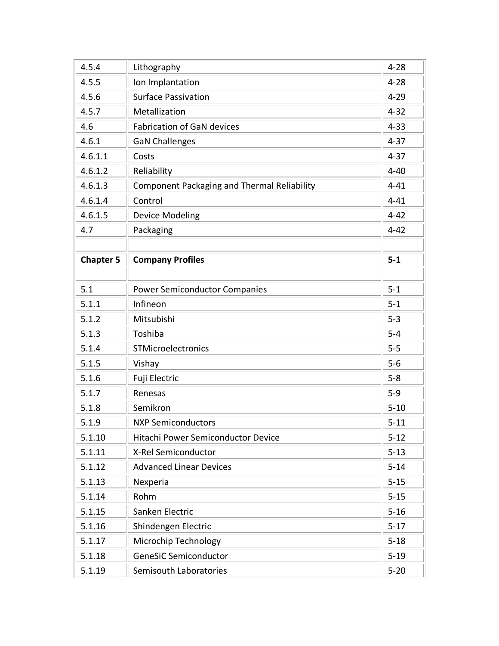| 4.5.4            | Lithography                                        | $4 - 28$ |
|------------------|----------------------------------------------------|----------|
| 4.5.5            | Ion Implantation                                   | $4 - 28$ |
| 4.5.6            | <b>Surface Passivation</b>                         | $4 - 29$ |
| 4.5.7            | Metallization                                      | $4 - 32$ |
| 4.6              | <b>Fabrication of GaN devices</b>                  | $4 - 33$ |
| 4.6.1            | <b>GaN Challenges</b>                              | $4 - 37$ |
| 4.6.1.1          | Costs                                              | $4 - 37$ |
| 4.6.1.2          | Reliability                                        | $4 - 40$ |
| 4.6.1.3          | <b>Component Packaging and Thermal Reliability</b> | $4 - 41$ |
| 4.6.1.4          | Control                                            | $4 - 41$ |
| 4.6.1.5          | <b>Device Modeling</b>                             | $4 - 42$ |
| 4.7              | Packaging                                          | $4 - 42$ |
|                  |                                                    |          |
| <b>Chapter 5</b> | <b>Company Profiles</b>                            | $5-1$    |
|                  |                                                    |          |
| 5.1              | <b>Power Semiconductor Companies</b>               | $5 - 1$  |
| 5.1.1            | Infineon                                           | $5 - 1$  |
| 5.1.2            | Mitsubishi                                         | $5 - 3$  |
| 5.1.3            | Toshiba                                            | $5 - 4$  |
| 5.1.4            | STMicroelectronics                                 | $5 - 5$  |
| 5.1.5            | Vishay                                             | $5-6$    |
| 5.1.6            | Fuji Electric                                      | $5 - 8$  |
| 5.1.7            | Renesas                                            | $5 - 9$  |
| 5.1.8            | Semikron                                           | $5 - 10$ |
| 5.1.9            | <b>NXP Semiconductors</b>                          | $5 - 11$ |
| 5.1.10           | Hitachi Power Semiconductor Device                 | $5 - 12$ |
| 5.1.11           | X-Rel Semiconductor                                | $5 - 13$ |
| 5.1.12           | <b>Advanced Linear Devices</b>                     | $5 - 14$ |
| 5.1.13           | Nexperia                                           | $5 - 15$ |
| 5.1.14           | Rohm                                               | $5 - 15$ |
| 5.1.15           | Sanken Electric                                    | $5 - 16$ |
| 5.1.16           | Shindengen Electric                                | $5 - 17$ |
| 5.1.17           | Microchip Technology                               | $5 - 18$ |
| 5.1.18           | <b>GeneSiC Semiconductor</b>                       | $5 - 19$ |
| 5.1.19           | Semisouth Laboratories                             | $5 - 20$ |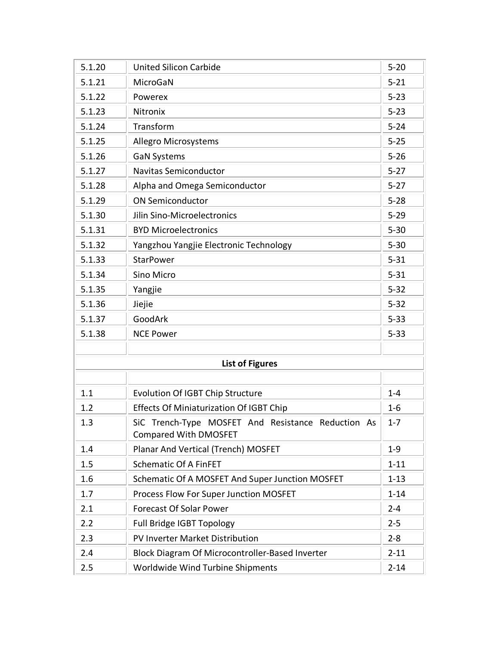| 5.1.20 | <b>United Silicon Carbide</b>                                                      | $5 - 20$ |
|--------|------------------------------------------------------------------------------------|----------|
| 5.1.21 | MicroGaN                                                                           | $5 - 21$ |
| 5.1.22 | Powerex                                                                            | $5 - 23$ |
| 5.1.23 | Nitronix                                                                           | $5 - 23$ |
| 5.1.24 | Transform                                                                          | $5 - 24$ |
| 5.1.25 | <b>Allegro Microsystems</b>                                                        | $5 - 25$ |
| 5.1.26 | <b>GaN Systems</b>                                                                 | $5 - 26$ |
| 5.1.27 | <b>Navitas Semiconductor</b>                                                       | $5 - 27$ |
| 5.1.28 | Alpha and Omega Semiconductor                                                      | $5 - 27$ |
| 5.1.29 | <b>ON Semiconductor</b>                                                            | $5 - 28$ |
| 5.1.30 | Jilin Sino-Microelectronics                                                        | $5 - 29$ |
| 5.1.31 | <b>BYD Microelectronics</b>                                                        | $5 - 30$ |
| 5.1.32 | Yangzhou Yangjie Electronic Technology                                             | $5 - 30$ |
| 5.1.33 | <b>StarPower</b>                                                                   | $5 - 31$ |
| 5.1.34 | Sino Micro                                                                         | $5 - 31$ |
| 5.1.35 | Yangjie                                                                            | $5 - 32$ |
| 5.1.36 | Jiejie                                                                             | $5 - 32$ |
| 5.1.37 | GoodArk                                                                            | $5 - 33$ |
| 5.1.38 | <b>NCE Power</b>                                                                   | $5 - 33$ |
|        |                                                                                    |          |
|        | <b>List of Figures</b>                                                             |          |
|        |                                                                                    |          |
| 1.1    | <b>Evolution Of IGBT Chip Structure</b>                                            | $1 - 4$  |
| 1.2    | <b>Effects Of Miniaturization Of IGBT Chip</b>                                     | $1 - 6$  |
| 1.3    | SiC Trench-Type MOSFET And Resistance Reduction As<br><b>Compared With DMOSFET</b> | $1 - 7$  |
| 1.4    | Planar And Vertical (Trench) MOSFET                                                | $1 - 9$  |
| 1.5    | <b>Schematic Of A FinFET</b>                                                       | $1 - 11$ |
| 1.6    | Schematic Of A MOSFET And Super Junction MOSFET                                    | $1 - 13$ |
| 1.7    | Process Flow For Super Junction MOSFET                                             | $1 - 14$ |
| 2.1    | <b>Forecast Of Solar Power</b>                                                     | $2 - 4$  |
| 2.2    | Full Bridge IGBT Topology                                                          | $2 - 5$  |
| 2.3    | PV Inverter Market Distribution                                                    | $2 - 8$  |
| 2.4    | Block Diagram Of Microcontroller-Based Inverter                                    | $2 - 11$ |
| 2.5    | Worldwide Wind Turbine Shipments                                                   | $2 - 14$ |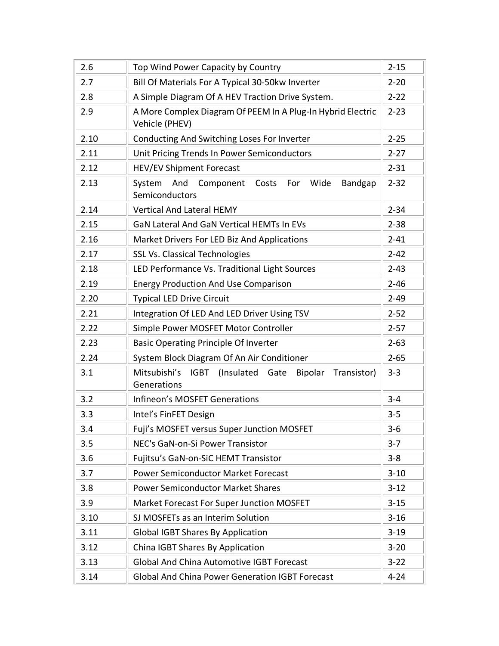| 2.6  | Top Wind Power Capacity by Country                                                      | $2 - 15$ |
|------|-----------------------------------------------------------------------------------------|----------|
| 2.7  | Bill Of Materials For A Typical 30-50kw Inverter                                        | $2 - 20$ |
| 2.8  | A Simple Diagram Of A HEV Traction Drive System.                                        | $2 - 22$ |
| 2.9  | A More Complex Diagram Of PEEM In A Plug-In Hybrid Electric<br>Vehicle (PHEV)           | $2 - 23$ |
| 2.10 | Conducting And Switching Loses For Inverter                                             | $2 - 25$ |
| 2.11 | Unit Pricing Trends In Power Semiconductors                                             | $2 - 27$ |
| 2.12 | <b>HEV/EV Shipment Forecast</b>                                                         | $2 - 31$ |
| 2.13 | And<br>Component<br>System<br>Costs<br>For Wide<br>Bandgap<br>Semiconductors            | $2 - 32$ |
| 2.14 | <b>Vertical And Lateral HEMY</b>                                                        | $2 - 34$ |
| 2.15 | GaN Lateral And GaN Vertical HEMTs In EVs                                               | $2 - 38$ |
| 2.16 | Market Drivers For LED Biz And Applications                                             | $2 - 41$ |
| 2.17 | <b>SSL Vs. Classical Technologies</b>                                                   | $2 - 42$ |
| 2.18 | LED Performance Vs. Traditional Light Sources                                           | $2 - 43$ |
| 2.19 | <b>Energy Production And Use Comparison</b>                                             | $2 - 46$ |
| 2.20 | <b>Typical LED Drive Circuit</b>                                                        | $2 - 49$ |
| 2.21 | Integration Of LED And LED Driver Using TSV                                             | $2 - 52$ |
| 2.22 | Simple Power MOSFET Motor Controller                                                    | $2 - 57$ |
| 2.23 | <b>Basic Operating Principle Of Inverter</b>                                            | $2 - 63$ |
| 2.24 | System Block Diagram Of An Air Conditioner                                              | $2 - 65$ |
| 3.1  | <b>IGBT</b><br>(Insulated Gate<br>Mitsubishi's<br>Bipolar<br>Transistor)<br>Generations | $3 - 3$  |
| 3.2  | Infineon's MOSFET Generations                                                           | $3 - 4$  |
| 3.3  | Intel's FinFET Design                                                                   | $3 - 5$  |
| 3.4  | Fuji's MOSFET versus Super Junction MOSFET                                              | $3-6$    |
| 3.5  | NEC's GaN-on-Si Power Transistor                                                        | $3 - 7$  |
| 3.6  | Fujitsu's GaN-on-SiC HEMT Transistor                                                    | $3 - 8$  |
| 3.7  | Power Semiconductor Market Forecast                                                     | $3 - 10$ |
| 3.8  | <b>Power Semiconductor Market Shares</b>                                                | $3 - 12$ |
| 3.9  | Market Forecast For Super Junction MOSFET                                               | $3 - 15$ |
| 3.10 | SJ MOSFETs as an Interim Solution                                                       | $3 - 16$ |
| 3.11 | <b>Global IGBT Shares By Application</b>                                                | $3 - 19$ |
| 3.12 | China IGBT Shares By Application                                                        | $3 - 20$ |
| 3.13 | <b>Global And China Automotive IGBT Forecast</b>                                        | $3 - 22$ |
| 3.14 | <b>Global And China Power Generation IGBT Forecast</b>                                  | $4 - 24$ |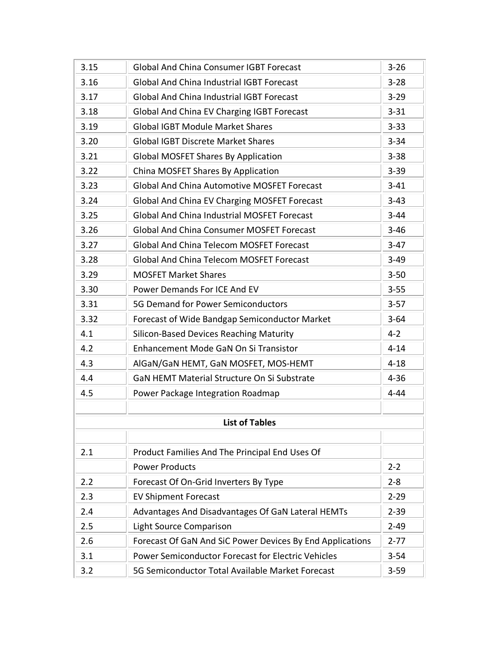| 3.15 | <b>Global And China Consumer IGBT Forecast</b>            | $3 - 26$ |
|------|-----------------------------------------------------------|----------|
| 3.16 | <b>Global And China Industrial IGBT Forecast</b>          | $3 - 28$ |
| 3.17 | <b>Global And China Industrial IGBT Forecast</b>          | $3 - 29$ |
| 3.18 | Global And China EV Charging IGBT Forecast                | $3 - 31$ |
| 3.19 | <b>Global IGBT Module Market Shares</b>                   | $3 - 33$ |
| 3.20 | <b>Global IGBT Discrete Market Shares</b>                 | $3 - 34$ |
| 3.21 | <b>Global MOSFET Shares By Application</b>                | $3 - 38$ |
| 3.22 | China MOSFET Shares By Application                        | $3 - 39$ |
| 3.23 | <b>Global And China Automotive MOSFET Forecast</b>        | $3 - 41$ |
| 3.24 | Global And China EV Charging MOSFET Forecast              | $3 - 43$ |
| 3.25 | <b>Global And China Industrial MOSFET Forecast</b>        | $3 - 44$ |
| 3.26 | <b>Global And China Consumer MOSFET Forecast</b>          | $3 - 46$ |
| 3.27 | <b>Global And China Telecom MOSFET Forecast</b>           | $3-47$   |
| 3.28 | <b>Global And China Telecom MOSFET Forecast</b>           | $3 - 49$ |
| 3.29 | <b>MOSFET Market Shares</b>                               | $3 - 50$ |
| 3.30 | Power Demands For ICE And EV                              | $3 - 55$ |
| 3.31 | 5G Demand for Power Semiconductors                        | $3 - 57$ |
| 3.32 | Forecast of Wide Bandgap Semiconductor Market             | $3 - 64$ |
| 4.1  | Silicon-Based Devices Reaching Maturity                   | $4 - 2$  |
| 4.2  | Enhancement Mode GaN On Si Transistor                     | $4 - 14$ |
| 4.3  | AlGaN/GaN HEMT, GaN MOSFET, MOS-HEMT                      | $4 - 18$ |
| 4.4  | GaN HEMT Material Structure On Si Substrate               | $4 - 36$ |
| 4.5  | Power Package Integration Roadmap                         | $4 - 44$ |
|      |                                                           |          |
|      | <b>List of Tables</b>                                     |          |
|      |                                                           |          |
| 2.1  | Product Families And The Principal End Uses Of            |          |
|      | <b>Power Products</b>                                     | $2 - 2$  |
| 2.2  | Forecast Of On-Grid Inverters By Type                     | $2 - 8$  |
| 2.3  | <b>EV Shipment Forecast</b>                               | $2 - 29$ |
| 2.4  | Advantages And Disadvantages Of GaN Lateral HEMTs         | $2 - 39$ |
| 2.5  | Light Source Comparison                                   | $2 - 49$ |
| 2.6  | Forecast Of GaN And SiC Power Devices By End Applications | $2 - 77$ |
| 3.1  | Power Semiconductor Forecast for Electric Vehicles        | $3 - 54$ |
| 3.2  | 5G Semiconductor Total Available Market Forecast          | $3 - 59$ |